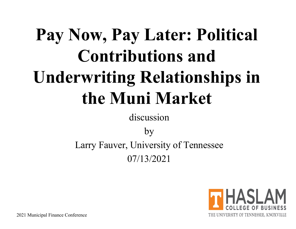# **Pay Now, Pay Later: Political Contributions and Underwriting Relationships in the Muni Market**

discussion

by Larry Fauver, University of Tennessee 07/13/2021

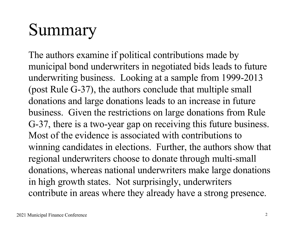### Summary

The authors examine if political contributions made by municipal bond underwriters in negotiated bids leads to future underwriting business. Looking at a sample from 1999-2013 (post Rule G-37), the authors conclude that multiple small donations and large donations leads to an increase in future business. Given the restrictions on large donations from Rule G-37, there is a two-year gap on receiving this future business. Most of the evidence is associated with contributions to winning candidates in elections. Further, the authors show that regional underwriters choose to donate through multi-small donations, whereas national underwriters make large donations in high growth states. Not surprisingly, underwriters contribute in areas where they already have a strong presence.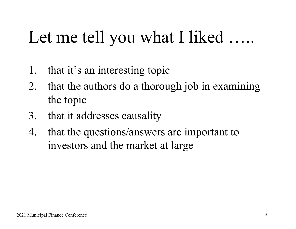### Let me tell you what I liked ……

- 1. that it's an interesting topic
- 2. that the authors do a thorough job in examining the topic
- 3. that it addresses causality
- 4. that the questions/answers are important to investors and the market at large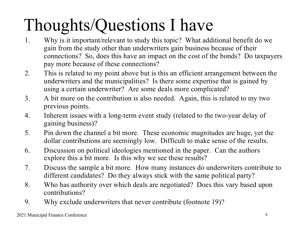## Thoughts/Questions I have

- 1. Why is it important/relevant to study this topic? What additional benefit do we gain from the study other than underwriters gain business because of their connections? So, does this have an impact on the cost of the bonds? Do taxpayers pay more because of these connections?
- 2. This is related to my point above but is this an efficient arrangement between the underwriters and the municipalities? Is there some expertise that is gained by using a certain underwriter? Are some deals more complicated?
- 3. A bit more on the contribution is also needed. Again, this is related to my two previous points.
- 4. Inherent issues with a long-term event study (related to the two-year delay of gaining business)?
- 5. Pin down the channel a bit more. These economic magnitudes are huge, yet the dollar contributions are seemingly low. Difficult to make sense of the results.
- 6. Discussion on political ideologies mentioned in the paper. Can the authors explore this a bit more. Is this why we see these results?
- 7. Discuss the sample a bit more. How many instances do underwriters contribute to different candidates? Do they always stick with the same political party?
- 8. Who has authority over which deals are negotiated? Does this vary based upon contributions?
- 9. Why exclude underwriters that never contribute (footnote 19)?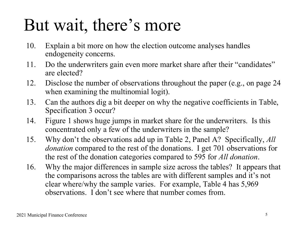#### But wait, there's more

- 10. Explain a bit more on how the election outcome analyses handles endogeneity concerns.
- 11. Do the underwriters gain even more market share after their "candidates" are elected?
- 12. Disclose the number of observations throughout the paper (e.g., on page 24 when examining the multinomial logit).
- 13. Can the authors dig a bit deeper on why the negative coefficients in Table, Specification 3 occur?
- 14. Figure 1 shows huge jumps in market share for the underwriters. Is this concentrated only a few of the underwriters in the sample?
- 15. Why don't the observations add up in Table 2, Panel A? Specifically, *All donation* compared to the rest of the donations. I get 701 observations for the rest of the donation categories compared to 595 for *All donation*.
- 16. Why the major differences in sample size across the tables? It appears that the comparisons across the tables are with different samples and it's not clear where/why the sample varies. For example, Table 4 has 5,969 observations. I don't see where that number comes from.